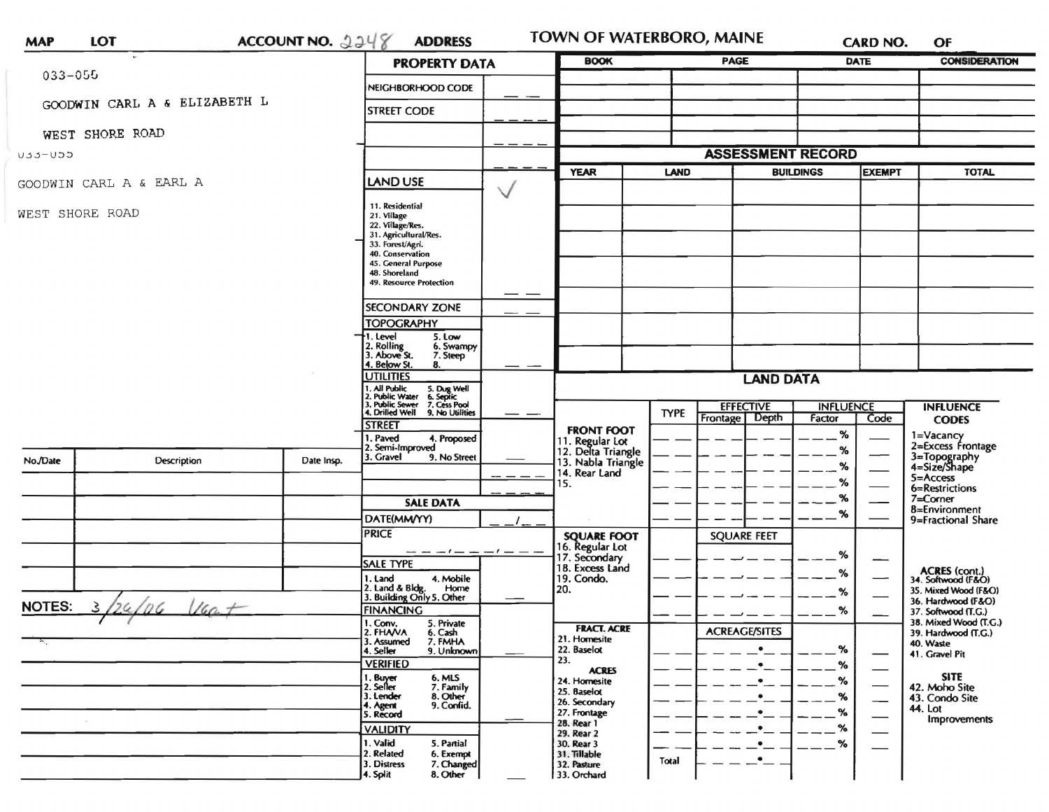| <b>MAP</b>      | LOT                            | ACCOUNT NO. $2248$                                                                                                                                                                                                                                   | <b>ADDRESS</b>                                                                                                                                                                                                                                                                                                                                                                                                                                                                           |                                                                                                                                                                      | TOWN OF WATERBORO, MAINE                                                                                 |                                 |                                      |                          | <b>CARD NO.</b>                                                                                                                                          | OF                                                                                                                            |  |
|-----------------|--------------------------------|------------------------------------------------------------------------------------------------------------------------------------------------------------------------------------------------------------------------------------------------------|------------------------------------------------------------------------------------------------------------------------------------------------------------------------------------------------------------------------------------------------------------------------------------------------------------------------------------------------------------------------------------------------------------------------------------------------------------------------------------------|----------------------------------------------------------------------------------------------------------------------------------------------------------------------|----------------------------------------------------------------------------------------------------------|---------------------------------|--------------------------------------|--------------------------|----------------------------------------------------------------------------------------------------------------------------------------------------------|-------------------------------------------------------------------------------------------------------------------------------|--|
|                 |                                |                                                                                                                                                                                                                                                      | <b>PROPERTY DATA</b>                                                                                                                                                                                                                                                                                                                                                                                                                                                                     |                                                                                                                                                                      | <b>BOOK</b>                                                                                              | <b>PAGE</b>                     |                                      | <b>DATE</b>              |                                                                                                                                                          | <b>CONSIDERATION</b>                                                                                                          |  |
|                 | $033 - 055$                    |                                                                                                                                                                                                                                                      | NEIGHBORHOOD CODE                                                                                                                                                                                                                                                                                                                                                                                                                                                                        |                                                                                                                                                                      |                                                                                                          |                                 |                                      |                          |                                                                                                                                                          |                                                                                                                               |  |
|                 | GOODWIN CARL A & ELIZABETH L   |                                                                                                                                                                                                                                                      | <b>STREET CODE</b>                                                                                                                                                                                                                                                                                                                                                                                                                                                                       |                                                                                                                                                                      |                                                                                                          |                                 |                                      |                          |                                                                                                                                                          |                                                                                                                               |  |
|                 | WEST SHORE ROAD                |                                                                                                                                                                                                                                                      |                                                                                                                                                                                                                                                                                                                                                                                                                                                                                          |                                                                                                                                                                      |                                                                                                          |                                 |                                      |                          |                                                                                                                                                          |                                                                                                                               |  |
| U33-U55         |                                |                                                                                                                                                                                                                                                      |                                                                                                                                                                                                                                                                                                                                                                                                                                                                                          |                                                                                                                                                                      |                                                                                                          | <b>ASSESSMENT RECORD</b>        |                                      |                          |                                                                                                                                                          |                                                                                                                               |  |
|                 | GOODWIN CARL A & EARL A        |                                                                                                                                                                                                                                                      | <b>LAND USE</b>                                                                                                                                                                                                                                                                                                                                                                                                                                                                          |                                                                                                                                                                      | <b>YEAR</b>                                                                                              | <b>LAND</b><br><b>BUILDINGS</b> |                                      | <b>EXEMPT</b>            |                                                                                                                                                          | <b>TOTAL</b>                                                                                                                  |  |
| WEST SHORE ROAD |                                |                                                                                                                                                                                                                                                      | 11. Residential<br>21. Village<br>22. Village/Res.<br>31. Agricultural/Res.<br>33. Forest/Agri.<br>40. Conservation<br>45. General Purpose<br>48. Shoreland<br>49. Resource Protection<br><b>SECONDARY ZONE</b><br><b>TOPOGRAPHY</b><br>1. Level<br>5. Low<br>2. Rolling<br>6. Swampy<br>3. Above St.<br>7. Steep<br>4. Below St.<br>8.<br><b>UTILITIES</b><br>1. All Public 5. Dug Well<br>1. Public Water 6. Septic<br>3. Public Sewer 7. Cess Pool<br>4. Drilled Well 9. No Utilities | — —                                                                                                                                                                  |                                                                                                          |                                 | <b>LAND DATA</b><br><b>EFFECTIVE</b> | <b>INFLUENCE</b>         |                                                                                                                                                          | <b>INFLUENCE</b>                                                                                                              |  |
|                 |                                |                                                                                                                                                                                                                                                      | <b>STREET</b>                                                                                                                                                                                                                                                                                                                                                                                                                                                                            | ——                                                                                                                                                                   |                                                                                                          | <b>TYPE</b>                     | Frontage Depth                       | Factor                   | Code                                                                                                                                                     | <b>CODES</b>                                                                                                                  |  |
| No./Date        | Description                    | Date Insp.                                                                                                                                                                                                                                           | . Paved<br>4. Proposed<br>2. Semi-Improved<br>3. Gravel<br>9. No Street<br><b>SALE DATA</b>                                                                                                                                                                                                                                                                                                                                                                                              |                                                                                                                                                                      | <b>FRONT FOOT</b><br>11. Regular Lot<br>12. Delta Triangle<br>13. Nabla Triangle<br>14. Rear Land<br>15. |                                 |                                      | $\%$<br>%<br>%<br>%<br>% |                                                                                                                                                          | 1=Vacancy<br>2=Excess Frontage<br>3=Topography<br>4=Size/Shape<br>5=Access<br>6=Restrictions<br>$7 =$ Corner<br>8=Environment |  |
|                 |                                |                                                                                                                                                                                                                                                      | DATE(MM/YY)                                                                                                                                                                                                                                                                                                                                                                                                                                                                              |                                                                                                                                                                      |                                                                                                          |                                 |                                      | %                        |                                                                                                                                                          | 9=Fractional Share                                                                                                            |  |
| <b>NOTES:</b>   | $\eta$ G<br>$16a +$<br>3<br>26 |                                                                                                                                                                                                                                                      | <b>PRICE</b><br>- - - - - -<br><b>SALE TYPE</b><br>1. Land<br>4. Mobile<br>2. Land & Bldg. Home<br>3. Building Only 5. Other<br>Home<br><b>FINANCING</b>                                                                                                                                                                                                                                                                                                                                 |                                                                                                                                                                      | <b>SQUARE FOOT</b><br>16. Regular Lot<br>17. Secondary<br>18. Excess Land<br>19. Condo.<br>20.           |                                 | <b>SQUARE FEET</b>                   | %<br>℅<br>%<br>%         |                                                                                                                                                          | <b>ACRES</b> (cont.)<br>34. Softwood (F&O)<br>35. Mixed Wood (F&O)<br>36. Hardwood (F&O)<br>37. Softwood (T.G.)               |  |
|                 |                                | 1. Conv. 5. Private<br>2. FHANA<br>6. Cash<br>3. Assumed<br>7. FMHA<br>4. Seller<br>9. Unknown<br><b>VERIFIED</b><br>1. Buyer<br>6. MLS<br>2. Seller<br>7. Family<br>3. Lender<br>8. Other<br>9. Confid.<br>4. Agent<br>5. Record<br><b>VALIDITY</b> |                                                                                                                                                                                                                                                                                                                                                                                                                                                                                          | <b>FRACT. ACRE</b><br>21. Homesite<br>22. Baselot<br>23.<br><b>ACRES</b><br>24. Homesite<br>25. Baselot<br>26. Secondary<br>27. Frontage<br>28. Rear 1<br>29. Rear 2 | <b>ACREAGE/SITES</b><br>$\bullet$<br>$\bullet$<br>$\bullet$<br>$\bullet$                                 |                                 | $\%$<br>$\%$<br>℅<br>%<br>$\%$<br>℅  |                          | 38. Mixed Wood (T.G.)<br>39. Hardwood (T.G.)<br>40. Waste<br>41. Gravel Pit<br><b>SITE</b><br>42. Moho Site<br>43. Condo Site<br>44. Lot<br>Improvements |                                                                                                                               |  |
|                 |                                | 1. Valid<br>5. Partial<br>2. Related<br>6. Exempt<br>3. Distress<br>7. Changed<br>4. Split<br>8. Other                                                                                                                                               |                                                                                                                                                                                                                                                                                                                                                                                                                                                                                          | 30. Rear 3<br>31. Tillable<br>32. Pasture<br>33. Orchard                                                                                                             | <b>Total</b>                                                                                             |                                 | %                                    |                          |                                                                                                                                                          |                                                                                                                               |  |